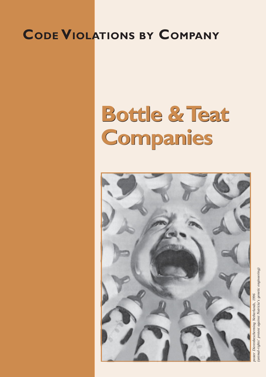## **CODE VIOLATIONS BY COMPANY**

# **Bottle & Teat Bottle & Teat Companies Companies**



animal-rights' protest against Nutricia's genetic engineering) *(animal-rights' protest against Nutricia's genetic engineering)*oster Dierenbescherming Netherlands, 1996 *poster Dierenbescherming Netherlands, 1996*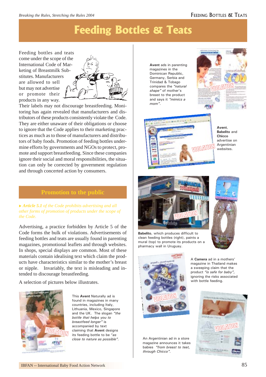#### FEEDING BOTTLES & TEATS

### **Feeding Bottles & Teats**

Feeding bottles and teats come under the scope of the International Code of Marketing of Breastmilk Substitutes. Manufacturers are allowed to sell but may not advertise or promote their products in any way.



Their labels may not discourage breastfeeding. Monitoring has again revealed that manufacturers and distributors of these products consistently violate the Code. They are either unaware of their obligations or choose to ignore that the Code applies to their marketing practices as much as to those of manufacturers and distributors of baby foods. Promotion of feeding bottles undermine efforts by governments and NGOs to protect, promote and support breastfeeding. Since these companies ignore their social and moral responsibilities, the situation can only be corrected by government regulation and through concerted action by consumers.

#### **Promotion to the public**

▶ **Article 5.1** of the Code prohibits advertising and all *other forms of promotion of products under the scope of the Code.*

Advertising, a practice forbidden by Article 5 of the Code forms the bulk of violations. Advertisements of feeding bottles and teats are usually found in parenting magazines, promotional leaflets and through websites. In shops, special displays are common. Most of these materials contain idealising text which claim the products have characteristics similar to the mother's breast or nipple. Invariably, the text is misleading and intended to discourage breastfeeding.

A selection of pictures below illustrates.



This **Avent** Naturally ad is found in magazines in many countries, including Italy, Lithuania, Mexico, Singapore and the UK. The slogan *"the bottle that helps you to breastfeed longer"* is accompanied by text claiming that **Avent** designs its feeding bottle to be "*as close to nature as possible".*

**Avent** ads in parenting magazines in the Dominican Republic, Germany, Serbia and Trinidad & Tobago compares the *"natural shape"* of mother's breast to the product and says it *"mimics a mom"*.





**Avent**, **Babelito** and **Chicco** advertise on Argentinian websites.



**Babelito**, which produces difficult to clean feeding bottles (right), paints a mural (top) to promote its products on a pharmacy wall in Uruguay.



A **Camera** ad in a mothers' magazine in Thailand makes a sweeping claim that the product *"is safe for baby",* ignoring the risks associated with bottle feeding.



An Argentinian ad in a store magazine announces it takes babies *"from breast to teat, through Chicco".*

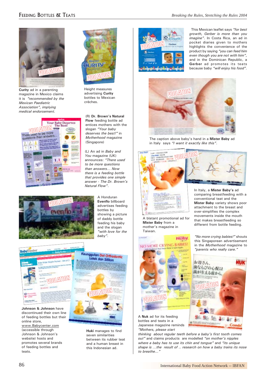

**Curity** ad in a parenting magazine in Mexico claims it is *"recommended by the Mexican Paediatric Association", implying medical endorsement.*





Height measures advertising **Curity** bottles to Mexican crèches.

(R) **Dr. Brown's Natural Flow** feeding bottle ad entices mothers with the slogan *"Your baby deserves the best!"* in *Motherhood* magazine (Singapore)

(L) An ad in *Baby and You* magazine (UK) announces: *"There used to be more questions than answers… Now there is a feeding bottle that provides one simple answer - The Dr. Brown's Natural Flow"*.



A Honduran **Evenflo** billboard advertises feeding bottles by showing a picture of daddy bottle feeding his baby and the slogan *"with love for the baby".*



**Johnson & Johnson** have discontinued their own line of feeding bottles but their online store, www.Babycenter.com (accessible through Johnson & Johnson's website) hosts and promotes several brands of feeding bottles and teats.



**Huki** manages to find seven similarities between its rubber teat and a human breast in this Indonesian ad.



 This Mexican leaflet says *"for best growth, Gerber is more than you imagine"*. In Costa Rica, an ad in pocket diaries given to mothers highlights the convenience of the product by saying *"you can feed him even though you are not with him",* and in the Dominican Republic, a **Gerber** ad promotes its teats because baby *"will enjoy his food".*



The caption above baby's hand in a **Mister Baby** ad in Italy says *"I want it exactly like this"*.



A blatant promotional ad for **Mister Baby** from a mother's magazine in Taiwan.



A **Nuk** ad for its feeding bottles and teats in a Japanese magazine reminds *"Mothers, please start*

*thinking about regular teeth before a baby's first tooth comes out"* and claims products are modelled *"on mother's nipples where a baby has to use its chin and tongue"* and *"its unique shape is …the result of .. research on how a baby trains its nose to breathe..."*



*"No more crying babies!"* shouts this Singaporean advertisement in the *Motherhood* magazine to *"parents who really care."*

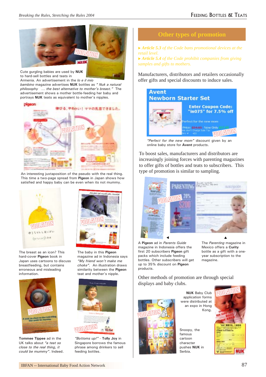

Cute gurgling babies are used by **NUK** to hard-sell bottles and teats in Armenia. An advertisement in the *Io e il mio*

*bambino* magazine advertises **NUK** bottles as *" Nuk a natural philosophy … the best alternative to mother's breast."* The advertisement shows a mother bottle-feeding her baby and portrays **NUK** teats as equivalent to mother's nipples.



An interesting juxtaposition of the pseudo with the real thing. This time a two-page spread from **Pigeon** in Japan shows how satisfied and happy baby can be even when its not mummy.



The breast as an icon? This hard-cover **Pigeon** book in Japan uses cartoons to discuss breastfeeding, but contains erroneous and misleading information.



**Tommee Tippee** ad in the UK talks about *"a teat so close to the real thing, it could be mummy"*. Indeed.



The baby in this **Pigeon** magazine ad in Indonesia says *"My friend won't make me choke".* An illustration draws similarity between the **Pigeon** teat and mother's nipple.



*"Bottoms up!"* - **Tolly Joy** in Singapore borrows the famous phrase among drinkers to sell feeding bottles.



▶ **Article 5.3** of the Code bans promotional devices at the *retail level.* ▶ **Article 5.4** of the Code prohibit companies from giving *samples and gifts to mothers.*

Manufacturers, distributors and retailers occasionally offer gifts and special discounts to induce sales.



*"Perfect for the new mom"* discount given by an online baby store for **Avent** products.

To boost sales, manufacturers and distributors are increasingly joining forces with parenting magazines to offer gifts of bottles and teats to subscribers. This type of promotion is similar to sampling.



A **Pigeon** ad in *Parents Guide* magazine in Indonesia offers the first 20 subscribers **Pigeon** gift packs which include feeding bottles. Other subscribers will get up to 35% discount on **Pigeon** products.

The *Parenting* magazine in Mexico offers a **Curity** bottle as a gift with a oneyear subscription to the magazine.

Other methods of promotion are through special displays and baby clubs.



**NUK** Baby Club application forms were distributed at an expo in Hong Kong.

Snoopy, the famous cartoon character pushes **NUK** in Serbia.